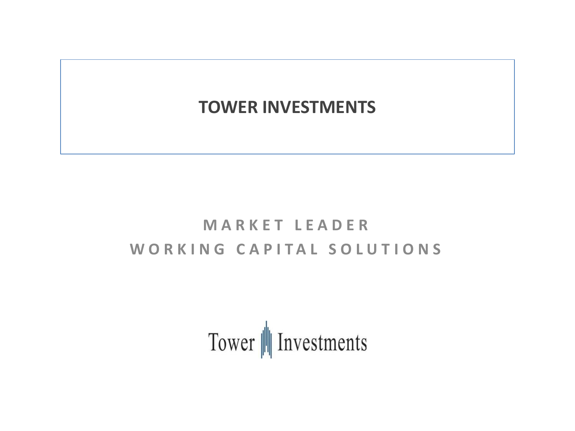# **TOWER INVESTMENTS**

# **M A R K E T L E A D E R** WORKING CAPITAL SOLUTIONS

Tower | Investments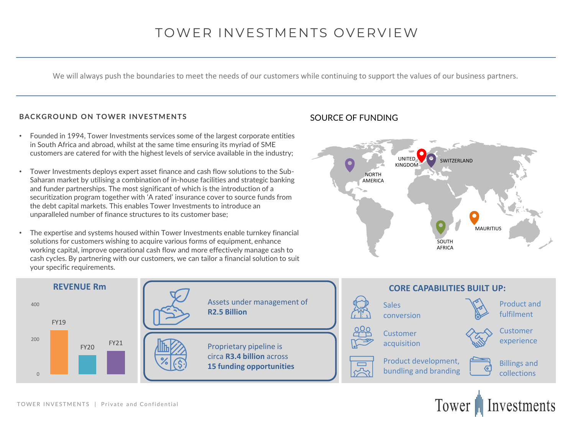## TOWER INVESTMENTS OVERVIEW

We will always push the boundaries to meet the needs of our customers while continuing to support the values of our business partners.

#### **BACKGROUND ON TOWER INVESTMENTS**

- Founded in 1994, Tower Investments services some of the largest corporate entities in South Africa and abroad, whilst at the same time ensuring its myriad of SME customers are catered for with the highest levels of service available in the industry;
- Tower Investments deploys expert asset finance and cash flow solutions to the Sub-Saharan market by utilising a combination of in-house facilities and strategic banking and funder partnerships. The most significant of which is the introduction of a securitization program together with 'A rated' insurance cover to source funds from the debt capital markets. This enables Tower Investments to introduce an unparalleled number of finance structures to its customer base;
- The expertise and systems housed within Tower Investments enable turnkey financial solutions for customers wishing to acquire various forms of equipment, enhance working capital, improve operational cash flow and more effectively manage cash to cash cycles. By partnering with our customers, we can tailor a financial solution to suit your specific requirements.

### SOURCE OF FUNDING



Tower

Investments

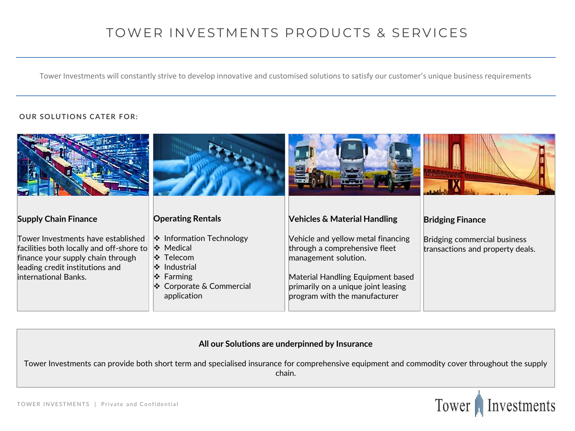# TOWER INVESTMENTS PRODUCTS & SERVICES

Tower Investments will constantly strive to develop innovative and customised solutions to satisfy our customer's unique business requirements

### **OUR SOLUTIONS CATER FOR:**

| <b>Supply Chain Finance</b>                                                                                                                                                    | <b>Operating Rentals</b>                                                                                                              | <b>Vehicles &amp; Material Handling</b>                                                                                                                                                                  | <b>Bridging Finance</b>                                          |
|--------------------------------------------------------------------------------------------------------------------------------------------------------------------------------|---------------------------------------------------------------------------------------------------------------------------------------|----------------------------------------------------------------------------------------------------------------------------------------------------------------------------------------------------------|------------------------------------------------------------------|
| Tower Investments have established<br>facilities both locally and off-shore to<br>finance your supply chain through<br>leading credit institutions and<br>international Banks. | ❖ Information Technology<br>❖ Medical<br>❖ Telecom<br>$\cdot$ Industrial<br>$\div$ Farming<br>❖ Corporate & Commercial<br>application | Vehicle and yellow metal financing<br>through a comprehensive fleet<br>management solution.<br>Material Handling Equipment based<br>primarily on a unique joint leasing<br>program with the manufacturer | Bridging commercial business<br>transactions and property deals. |

### **All our Solutions are underpinned by Insurance**

Tower Investments can provide both short term and specialised insurance for comprehensive equipment and commodity cover throughout the supply chain.

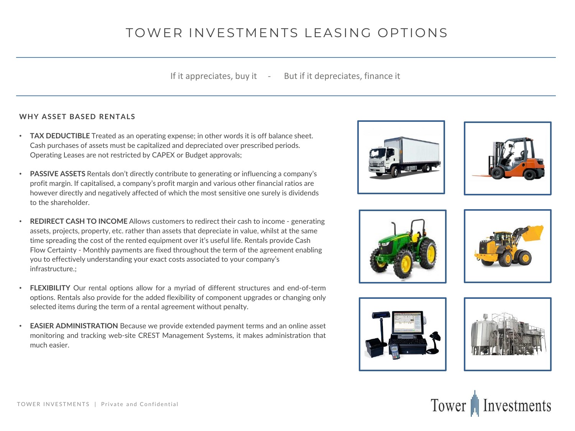# TOWER INVESTMENTS LEASING OPTIONS

If it appreciates, buy it  $\quad - \quad$  But if it depreciates, finance it

#### **WHY ASSET BASED RENTALS**

- **TAX DEDUCTIBLE** Treated as an operating expense; in other words it is off balance sheet. Cash purchases of assets must be capitalized and depreciated over prescribed periods. Operating Leases are not restricted by CAPEX or Budget approvals;
- **PASSIVE ASSETS** Rentals don't directly contribute to generating or influencing a company's profit margin. If capitalised, a company's profit margin and various other financial ratios are however directly and negatively affected of which the most sensitive one surely is dividends to the shareholder.
- **REDIRECT CASH TO INCOME** Allows customers to redirect their cash to income generating assets, projects, property, etc. rather than assets that depreciate in value, whilst at the same time spreading the cost of the rented equipment over it's useful life. Rentals provide Cash Flow Certainty - Monthly payments are fixed throughout the term of the agreement enabling you to effectively understanding your exact costs associated to your company's infrastructure.;
- **FLEXIBILITY** Our rental options allow for a myriad of different structures and end-of-term options. Rentals also provide for the added flexibility of component upgrades or changing only selected items during the term of a rental agreement without penalty.
- **EASIER ADMINISTRATION** Because we provide extended payment terms and an online asset monitoring and tracking web-site CREST Management Systems, it makes administration that much easier.













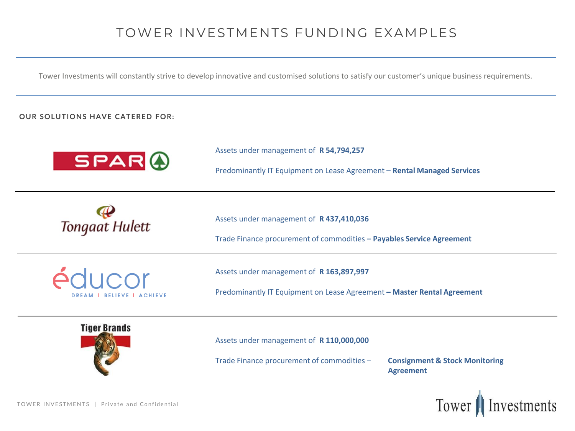## TOWER INVESTMENTS FUNDING EXAMPLES

Tower Investments will constantly strive to develop innovative and customised solutions to satisfy our customer's unique business requirements.

### **OUR SOLUTIONS HAVE CATERED FOR:**

| <b>SPARO</b>                               | Assets under management of R 54,794,257<br>Predominantly IT Equipment on Lease Agreement - Rental Managed Services  |
|--------------------------------------------|---------------------------------------------------------------------------------------------------------------------|
| Tongaat Hulett                             | Assets under management of R 437,410,036<br>Trade Finance procurement of commodities - Payables Service Agreement   |
| éducor<br><b>DREAM   BELIEVE   ACHIEVE</b> | Assets under management of R 163,897,997<br>Predominantly IT Equipment on Lease Agreement - Master Rental Agreement |
| <b>Tiger Brands</b>                        | Accots under management of <b>P 110 000 000</b>                                                                     |

Assets under management of **R 110,000,000** 

Trade Finance procurement of commodities – **Consignment & Stock Monitoring** 

**Agreement**